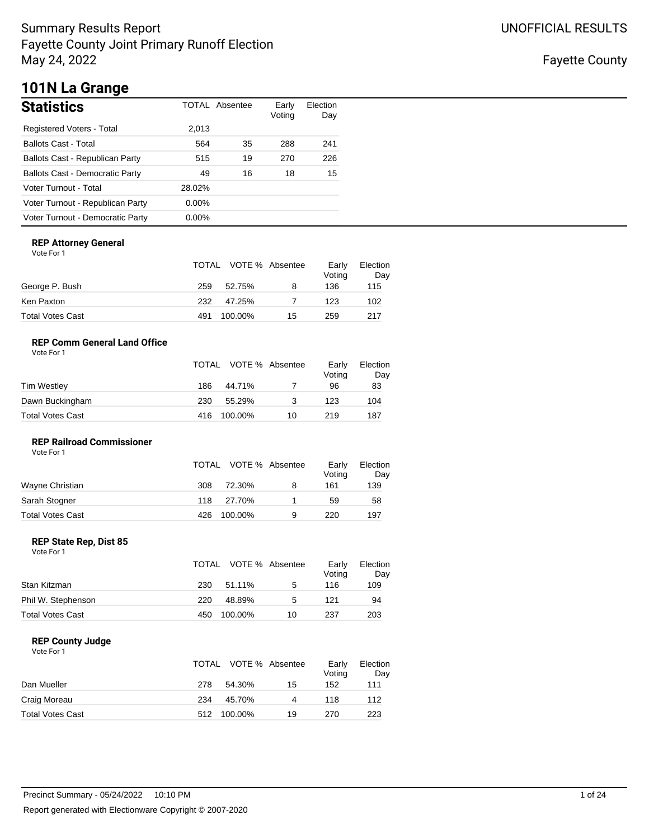Fayette County

# **101N La Grange**

| <b>Statistics</b>                      |          | <b>TOTAL Absentee</b> | Early<br>Voting | Election<br>Day |
|----------------------------------------|----------|-----------------------|-----------------|-----------------|
| Registered Voters - Total              | 2,013    |                       |                 |                 |
| <b>Ballots Cast - Total</b>            | 564      | 35                    | 288             | 241             |
| Ballots Cast - Republican Party        | 515      | 19                    | 270             | 226             |
| <b>Ballots Cast - Democratic Party</b> | 49       | 16                    | 18              | 15              |
| Voter Turnout - Total                  | 28.02%   |                       |                 |                 |
| Voter Turnout - Republican Party       | $0.00\%$ |                       |                 |                 |
| Voter Turnout - Democratic Party       | $0.00\%$ |                       |                 |                 |

### **REP Attorney General**

Vote For 1

|                  |     | TOTAL VOTE % Absentee |    | Early<br>Voting | Election<br>Day |
|------------------|-----|-----------------------|----|-----------------|-----------------|
| George P. Bush   | 259 | 52.75%                | 8  | 136             | 115             |
| Ken Paxton       | 232 | 47.25%                |    | 123             | 102             |
| Total Votes Cast | 491 | 100.00%               | 15 | 259             | 217             |

### **REP Comm General Land Office**

| Vote For 1 |  |
|------------|--|
|            |  |

|                  |     | TOTAL VOTE % Absentee |    | Early<br>Voting | Election<br>Day |
|------------------|-----|-----------------------|----|-----------------|-----------------|
| Tim Westley      | 186 | 44.71%                |    | 96              | 83              |
| Dawn Buckingham  | 230 | 55.29%                | 3  | 123             | 104             |
| Total Votes Cast | 416 | 100.00%               | 10 | 219             | 187             |

### **REP Railroad Commissioner** Vote For 1

|                  |     | TOTAL VOTE % Absentee |   | Earlv<br>Voting | Election<br>Day |
|------------------|-----|-----------------------|---|-----------------|-----------------|
| Wayne Christian  | 308 | 72.30%                | 8 | 161             | 139             |
| Sarah Stogner    | 118 | 27.70%                |   | 59              | 58              |
| Total Votes Cast | 426 | 100.00%               | 9 | 220             | 197             |

### **REP State Rep, Dist 85**

| Vote For 1 |  |
|------------|--|
|------------|--|

|                         |     | TOTAL VOTE % Absentee |    | Early<br>Voting | Election<br>Day |
|-------------------------|-----|-----------------------|----|-----------------|-----------------|
| Stan Kitzman            | 230 | 51.11%                | 5  | 116             | 109             |
| Phil W. Stephenson      | 220 | 48.89%                | 5  | 121             | 94              |
| <b>Total Votes Cast</b> | 450 | 100.00%               | 10 | 237             | 203             |

### **REP County Judge**

|                         |     | TOTAL VOTE % Absentee |    | Early<br>Voting | Election<br>Day |
|-------------------------|-----|-----------------------|----|-----------------|-----------------|
| Dan Mueller             | 278 | 54.30%                | 15 | 152             | 111             |
| Craig Moreau            | 234 | 45.70%                | Δ  | 118             | 112             |
| <b>Total Votes Cast</b> | 512 | 100.00%               | 19 | 270             | 223             |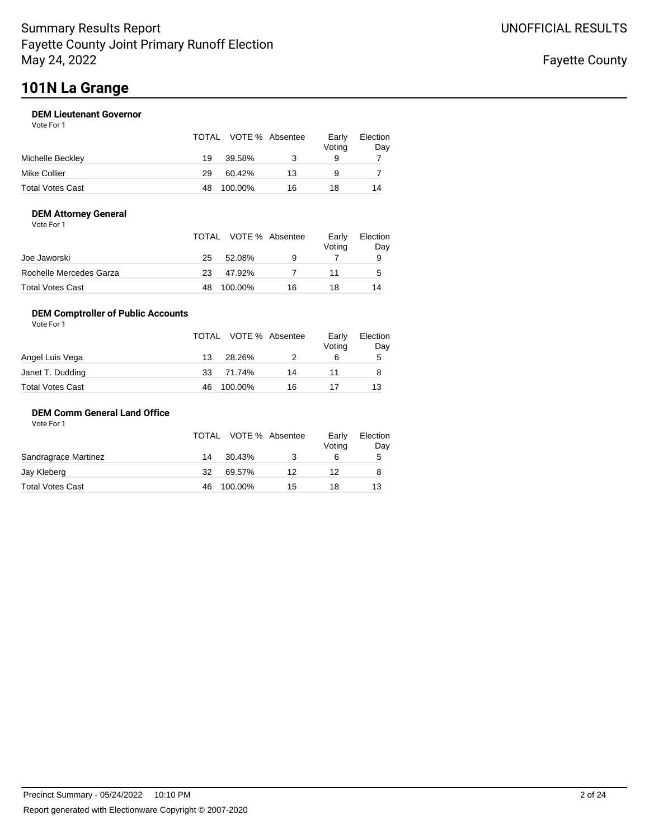# **101N La Grange**

### **DEM Lieutenant Governor**

| Vote For 1 |  |  |  |
|------------|--|--|--|
|------------|--|--|--|

|                  |    | TOTAL VOTE % Absentee |    | Early<br>Voting | Election<br>Day |
|------------------|----|-----------------------|----|-----------------|-----------------|
| Michelle Beckley | 19 | 39.58%                |    | 9               |                 |
| Mike Collier     | 29 | 60.42%                | 13 | 9               |                 |
| Total Votes Cast | 48 | 100.00%               | 16 | 18              | 14              |

### **DEM Attorney General**

| Vote For 1 |  |  |
|------------|--|--|
|------------|--|--|

|                         |    | TOTAL VOTE % Absentee |    | Earlv<br>Voting | Election<br>Day |
|-------------------------|----|-----------------------|----|-----------------|-----------------|
| Joe Jaworski            | 25 | 52.08%                | 9  |                 | 9               |
| Rochelle Mercedes Garza | 23 | 47.92%                |    |                 | $\mathbf{b}$    |
| Total Votes Cast        |    | 100.00%               | 16 | 18              | 14              |

### **DEM Comptroller of Public Accounts**

| Vote For 1       |    |                       |    |                 |                 |
|------------------|----|-----------------------|----|-----------------|-----------------|
|                  |    | TOTAL VOTE % Absentee |    | Early<br>Voting | Election<br>Day |
| Angel Luis Vega  | 13 | 28.26%                |    | 6               | 5               |
| Janet T. Dudding | 33 | 71.74%                | 14 | 11              | 8               |
| Total Votes Cast | 46 | 100.00%               | 16 |                 | 13              |

### **DEM Comm General Land Office**

|                      |     | TOTAL VOTE % Absentee |    | Early<br>Voting | Election<br>Day |
|----------------------|-----|-----------------------|----|-----------------|-----------------|
| Sandragrace Martinez | 14  | 30.43%                |    | 6               | 5               |
| Jay Kleberg          | 32  | 69.57%                | 12 | 12              |                 |
| Total Votes Cast     | 46. | 100.00%               | 15 | 18              | 13              |
|                      |     |                       |    |                 |                 |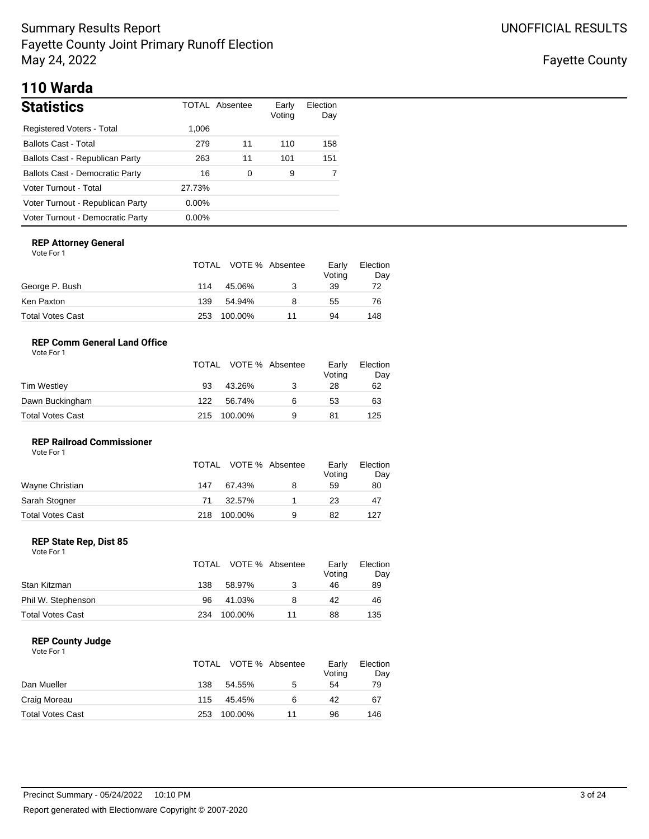Fayette County

# **110 Warda**

| <b>Statistics</b>                      |          | TOTAL Absentee | Early<br>Voting | Election<br>Day |
|----------------------------------------|----------|----------------|-----------------|-----------------|
| Registered Voters - Total              | 1,006    |                |                 |                 |
| <b>Ballots Cast - Total</b>            | 279      | 11             | 110             | 158             |
| Ballots Cast - Republican Party        | 263      | 11             | 101             | 151             |
| <b>Ballots Cast - Democratic Party</b> | 16       | 0              | 9               |                 |
| Voter Turnout - Total                  | 27.73%   |                |                 |                 |
| Voter Turnout - Republican Party       | $0.00\%$ |                |                 |                 |
| Voter Turnout - Democratic Party       | $0.00\%$ |                |                 |                 |

### **REP Attorney General**

| Vote For |  |
|----------|--|
|----------|--|

|                  |     | TOTAL VOTE % Absentee |    | Early<br>Voting | Election<br>Day |
|------------------|-----|-----------------------|----|-----------------|-----------------|
| George P. Bush   | 114 | 45.06%                | 3  | 39              | 72              |
| Ken Paxton       | 139 | 54.94%                |    | 55              | 76              |
| Total Votes Cast | 253 | 100.00%               | 11 | 94              | 148             |

### **REP Comm General Land Office**

| Vote For 1 |  |
|------------|--|
|            |  |

|                  |     | TOTAL VOTE % Absentee |   | Early<br>Voting | Election<br>Day |
|------------------|-----|-----------------------|---|-----------------|-----------------|
| Tim Westley      | 93  | 43.26%                |   | 28              | 62              |
| Dawn Buckingham  | 122 | 56.74%                | 6 | 53              | 63              |
| Total Votes Cast | 215 | 100.00%               | 9 | 81              | 125             |

### **REP Railroad Commissioner** Vote For 1

|                         | TOTAL | VOTE % Absentee |   | Early<br>Voting | Election<br>Day |
|-------------------------|-------|-----------------|---|-----------------|-----------------|
| Wayne Christian         | 147   | 67.43%          | 8 | 59              | 80              |
| Sarah Stogner           | 71    | 32.57%          |   | 23              | 47              |
| <b>Total Votes Cast</b> | 218   | 100.00%         | 9 | 82              | 127             |

### **REP State Rep, Dist 85**

| Vote For 1 |  |  |
|------------|--|--|
|------------|--|--|

|                         |     | TOTAL VOTE % Absentee |    | Early<br>Voting | Election<br>Day |
|-------------------------|-----|-----------------------|----|-----------------|-----------------|
| Stan Kitzman            | 138 | 58.97%                |    | 46              | 89              |
| Phil W. Stephenson      | 96  | 41.03%                | 8  | 42              | 46              |
| <b>Total Votes Cast</b> | 234 | 100.00%               | 11 | 88              | 135             |

### **REP County Judge**

|                         |     | TOTAL VOTE % Absentee |    | Early<br>Voting | Election<br>Day |
|-------------------------|-----|-----------------------|----|-----------------|-----------------|
| Dan Mueller             | 138 | 54.55%                | 5  | 54              | 79              |
| Craig Moreau            | 115 | 45.45%                | 6  | 42              | 67              |
| <b>Total Votes Cast</b> | 253 | 100.00%               | 11 | 96              | 146             |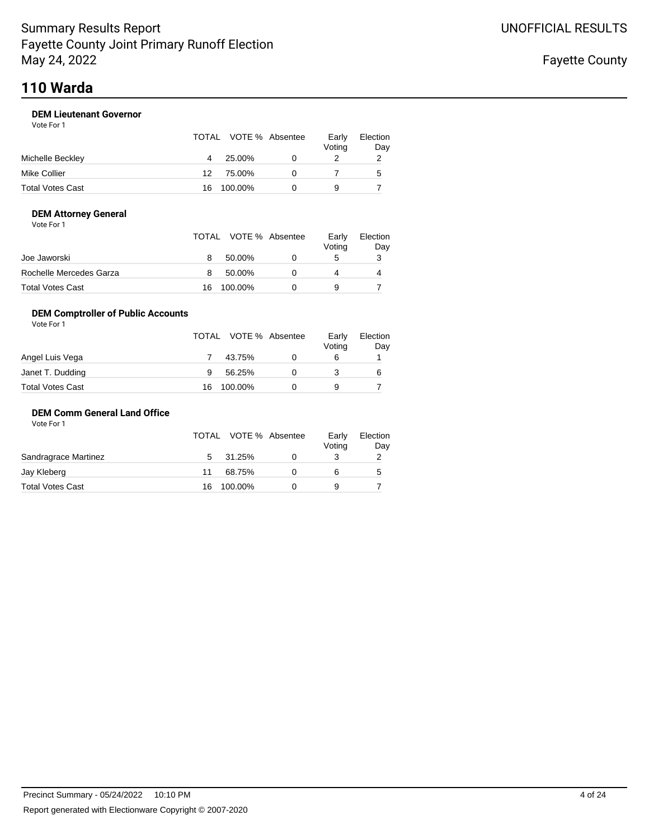### **DEM Lieutenant Governor**

Vote For 1

|                  |    | TOTAL VOTE % Absentee | Early<br>Voting | Election<br>Day |
|------------------|----|-----------------------|-----------------|-----------------|
| Michelle Beckley |    | 25.00%                |                 |                 |
| Mike Collier     | 12 | 75.00%                |                 | 5               |
| Total Votes Cast | 16 | 100.00%               |                 |                 |

### **DEM Attorney General**

| Vote For 1 |  |
|------------|--|
|------------|--|

|                         |    | TOTAL VOTE % Absentee | Early<br>Voting | Election<br>Day |
|-------------------------|----|-----------------------|-----------------|-----------------|
| Joe Jaworski            |    | 50.00%                | G               |                 |
| Rochelle Mercedes Garza |    | 50.00%                |                 | 4               |
| Total Votes Cast        | 16 | 100.00%               |                 |                 |

### **DEM Comptroller of Public Accounts**

| Vote For 1       |    |                       |                 |                 |
|------------------|----|-----------------------|-----------------|-----------------|
|                  |    | TOTAL VOTE % Absentee | Early<br>Voting | Election<br>Day |
| Angel Luis Vega  |    | 43.75%                | 6               |                 |
| Janet T. Dudding | 9  | 56.25%                |                 | 6               |
| Total Votes Cast | 16 | 100.00%               | 9               |                 |

### **DEM Comm General Land Office**

|    |        |         | Early<br>Voting       | Election<br>Day |
|----|--------|---------|-----------------------|-----------------|
| 5  | 31.25% |         |                       |                 |
| 11 | 68.75% |         |                       | 5               |
| 16 |        |         |                       |                 |
|    |        | 100.00% | TOTAL VOTE % Absentee |                 |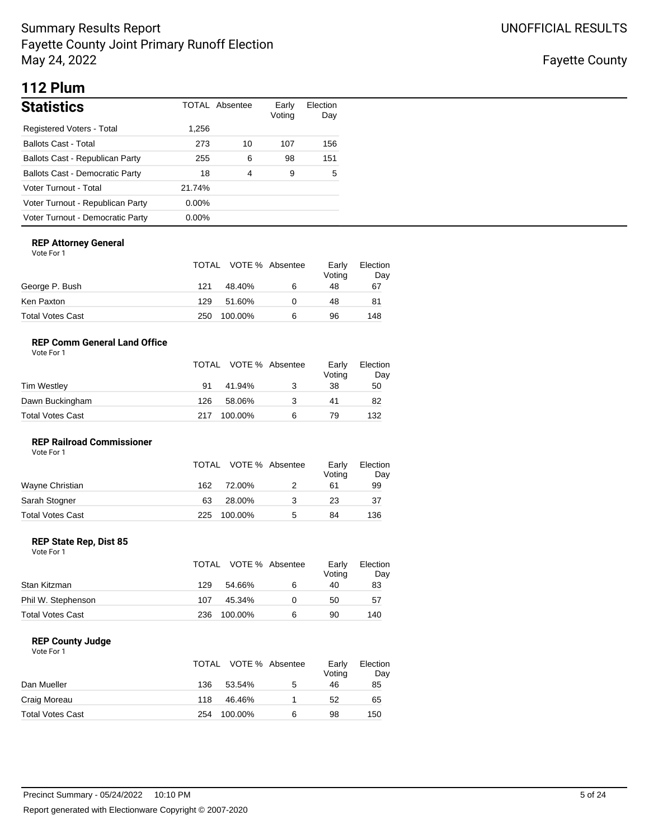Fayette County

# **112 Plum**

| <b>Statistics</b>                      |          | TOTAL Absentee | Early<br>Voting | Election<br>Day |
|----------------------------------------|----------|----------------|-----------------|-----------------|
| Registered Voters - Total              | 1,256    |                |                 |                 |
| <b>Ballots Cast - Total</b>            | 273      | 10             | 107             | 156             |
| Ballots Cast - Republican Party        | 255      | 6              | 98              | 151             |
| <b>Ballots Cast - Democratic Party</b> | 18       | 4              | 9               | 5               |
| Voter Turnout - Total                  | 21.74%   |                |                 |                 |
| Voter Turnout - Republican Party       | $0.00\%$ |                |                 |                 |
| Voter Turnout - Democratic Party       | $0.00\%$ |                |                 |                 |

### **REP Attorney General**

| Vote For |  |
|----------|--|
|----------|--|

|                  |     | TOTAL VOTE % Absentee |   | Early<br>Voting | Election<br>Day |
|------------------|-----|-----------------------|---|-----------------|-----------------|
| George P. Bush   | 121 | 48.40%                | 6 | 48              | 67              |
| Ken Paxton       | 129 | 51.60%                |   | 48              | 81              |
| Total Votes Cast | 250 | 100.00%               | 6 | 96              | 148             |

### **REP Comm General Land Office**

| Vote For 1 |  |
|------------|--|
|            |  |

|                  |     | TOTAL VOTE % Absentee |   | Early<br>Voting | Election<br>Day |
|------------------|-----|-----------------------|---|-----------------|-----------------|
| Tim Westley      | 91  | 41.94%                |   | 38              | 50              |
| Dawn Buckingham  | 126 | 58.06%                | З | 41              | 82              |
| Total Votes Cast | 217 | 100.00%               | 6 | 79              | 132             |

### **REP Railroad Commissioner**

| Vote For 1       |     |                       |   |                 |                 |
|------------------|-----|-----------------------|---|-----------------|-----------------|
|                  |     | TOTAL VOTE % Absentee |   | Early<br>Voting | Election<br>Day |
| Wayne Christian  | 162 | 72.00%                |   | 61              | 99              |
| Sarah Stogner    | 63  | 28.00%                | 3 | 23              | 37              |
| Total Votes Cast | 225 | 100.00%               | 5 | 84              | 136             |

### **REP State Rep, Dist 85**

| Vote For 1 |  |
|------------|--|
|------------|--|

|                         |     | TOTAL VOTE % Absentee |   | Early<br>Voting | Election<br>Day |
|-------------------------|-----|-----------------------|---|-----------------|-----------------|
| Stan Kitzman            | 129 | 54.66%                | 6 | 40              | 83              |
| Phil W. Stephenson      | 107 | 45.34%                |   | 50              | 57              |
| <b>Total Votes Cast</b> | 236 | 100.00%               | 6 | 90              | 140             |

### **REP County Judge**

|                         | TOTAL |         | VOTE % Absentee | Early<br>Voting | Election<br>Day |
|-------------------------|-------|---------|-----------------|-----------------|-----------------|
| Dan Mueller             | 136   | 53.54%  | 5               | 46              | 85              |
| Craig Moreau            | 118   | 46.46%  |                 | 52              | 65              |
| <b>Total Votes Cast</b> | 254   | 100.00% | 6               | 98              | 150             |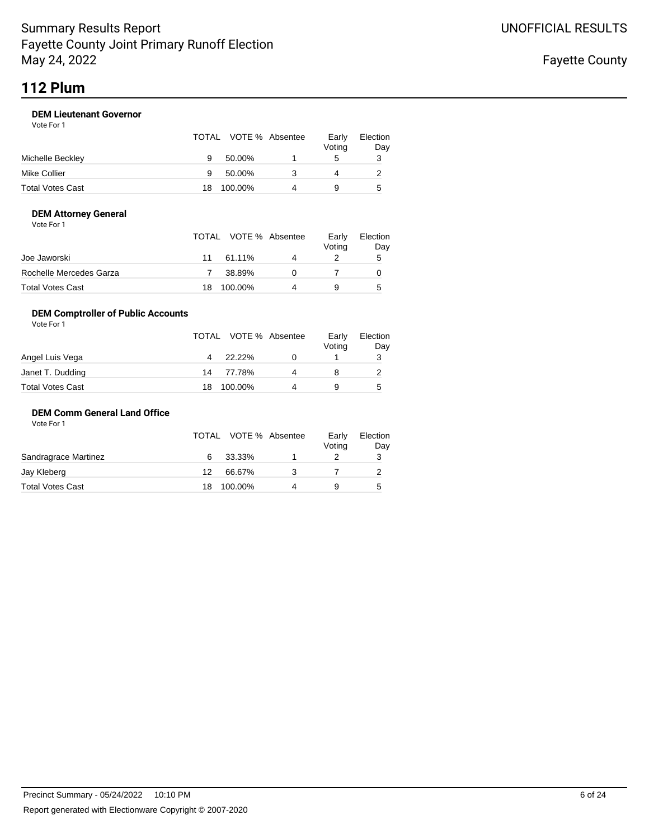Vote For 1

### **DEM Lieutenant Governor**

|                  |    | TOTAL VOTE % Absentee | Early<br>Voting | Election<br>Day |
|------------------|----|-----------------------|-----------------|-----------------|
| Michelle Beckley | 9  | 50.00%                | 5               | 3               |
| Mike Collier     |    | 50.00%                | 4               |                 |
| Total Votes Cast | 18 | 100.00%               | 9               | 5               |

### **DEM Attorney General**

| Vote For 1 |  |  |
|------------|--|--|
|------------|--|--|

|                         |    | TOTAL VOTE % Absentee |           | Early<br>Voting | Election<br>Day |
|-------------------------|----|-----------------------|-----------|-----------------|-----------------|
| Joe Jaworski            | 11 | 61.11%                | $\Lambda$ |                 | 5               |
| Rochelle Mercedes Garza |    | 38.89%                |           |                 |                 |
| Total Votes Cast        | 18 | 100.00%               |           |                 | 5               |

### **DEM Comptroller of Public Accounts**

| Vote For 1       |                |                       |                 |                 |
|------------------|----------------|-----------------------|-----------------|-----------------|
|                  |                | TOTAL VOTE % Absentee | Early<br>Voting | Election<br>Day |
| Angel Luis Vega  | $\overline{4}$ | 22.22%                |                 | 3               |
| Janet T. Dudding | 14             | 77.78%                |                 |                 |
| Total Votes Cast | 18             | 100.00%               | 9               | 5               |

### **DEM Comm General Land Office**

Vote For 1

|                      |    | TOTAL VOTE % Absentee | Early<br>Voting | Election<br>Day |
|----------------------|----|-----------------------|-----------------|-----------------|
| Sandragrace Martinez | 6  | 33.33%                |                 |                 |
| Jay Kleberg          | 12 | 66.67%                |                 |                 |
| Total Votes Cast     | 18 | 100.00%               |                 | 5               |
|                      |    |                       |                 |                 |

Fayette County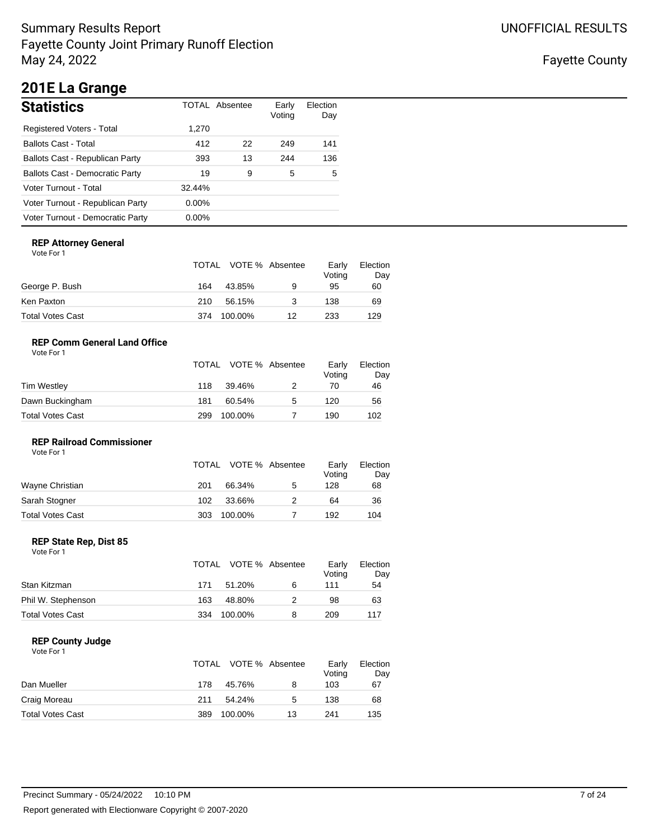Fayette County

# **201E La Grange**

| <b>Statistics</b>                      |          | TOTAL Absentee | Early<br>Voting | Election<br>Day |
|----------------------------------------|----------|----------------|-----------------|-----------------|
| Registered Voters - Total              | 1,270    |                |                 |                 |
| <b>Ballots Cast - Total</b>            | 412      | 22             | 249             | 141             |
| Ballots Cast - Republican Party        | 393      | 13             | 244             | 136             |
| <b>Ballots Cast - Democratic Party</b> | 19       | 9              | 5               | 5               |
| Voter Turnout - Total                  | 32.44%   |                |                 |                 |
| Voter Turnout - Republican Party       | $0.00\%$ |                |                 |                 |
| Voter Turnout - Democratic Party       | $0.00\%$ |                |                 |                 |

### **REP Attorney General**

Vote For 1

|                  |     | TOTAL VOTE % Absentee |    | Early<br>Voting | Election<br>Day |
|------------------|-----|-----------------------|----|-----------------|-----------------|
| George P. Bush   | 164 | 43.85%                | 9  | 95              | 60              |
| Ken Paxton       | 210 | 56.15%                |    | 138             | 69              |
| Total Votes Cast | 374 | 100.00%               | 12 | 233             | 129             |

### **REP Comm General Land Office**

| Vote For 1 |  |
|------------|--|
|            |  |

|                  |     | TOTAL VOTE % Absentee |   | Early<br>Voting | Election<br>Day |
|------------------|-----|-----------------------|---|-----------------|-----------------|
| Tim Westley      | 118 | 39.46%                |   | 70              | 46              |
| Dawn Buckingham  | 181 | 60.54%                | 5 | 120             | 56              |
| Total Votes Cast | 299 | 100.00%               |   | 190             | 102             |

### **REP Railroad Commissioner** Vote For 1

|                  |     | TOTAL VOTE % Absentee |   | Early<br>Voting | Election<br>Day |
|------------------|-----|-----------------------|---|-----------------|-----------------|
| Wayne Christian  | 201 | 66.34%                | 5 | 128             | 68              |
| Sarah Stogner    | 102 | 33.66%                |   | 64              | 36              |
| Total Votes Cast | 303 | 100.00%               |   | 192             | 104             |

### **REP State Rep, Dist 85**

| Vote For 1 |  |
|------------|--|
|------------|--|

|                         |     | TOTAL VOTE % Absentee |   | Early<br>Voting | Election<br>Day |
|-------------------------|-----|-----------------------|---|-----------------|-----------------|
| Stan Kitzman            | 171 | 51.20%                | 6 | 111             | 54              |
| Phil W. Stephenson      | 163 | 48.80%                |   | 98              | 63              |
| <b>Total Votes Cast</b> | 334 | 100.00%               |   | 209             | 117             |

### **REP County Judge**

|                         |     | TOTAL VOTE % Absentee |    | Early<br>Voting | Election<br>Day |
|-------------------------|-----|-----------------------|----|-----------------|-----------------|
| Dan Mueller             | 178 | 45.76%                | 8  | 103             | 67              |
| Craig Moreau            | 211 | 54.24%                | 5  | 138             | 68              |
| <b>Total Votes Cast</b> | 389 | 100.00%               | 13 | 241             | 135             |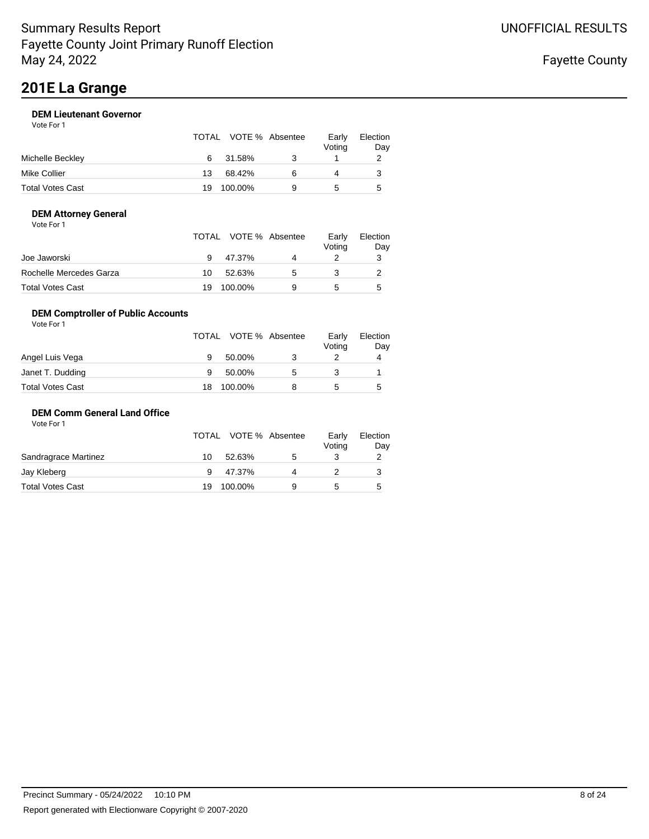# **201E La Grange**

### **DEM Lieutenant Governor**

| Vote For 1 |  |
|------------|--|
|            |  |

|                  |    | TOTAL VOTE % Absentee | Early<br>Voting | Election<br>Day |
|------------------|----|-----------------------|-----------------|-----------------|
| Michelle Beckley | 6  | 31.58%                |                 |                 |
| Mike Collier     | 13 | 68.42%                |                 |                 |
| Total Votes Cast | 19 | 100.00%               | G               | 5               |

### **DEM Attorney General**

| Vote For 1 |  |
|------------|--|
|------------|--|

|                         |    | TOTAL VOTE % Absentee | Early<br>Voting | Election<br>Day |
|-------------------------|----|-----------------------|-----------------|-----------------|
| Joe Jaworski            |    | 47.37%                |                 |                 |
| Rochelle Mercedes Garza | 10 | 52.63%                |                 |                 |
| Total Votes Cast        | 19 | 100.00%               |                 | 5               |

### **DEM Comptroller of Public Accounts**

| Vote For 1       |    |                       |   |                 |                 |
|------------------|----|-----------------------|---|-----------------|-----------------|
|                  |    | TOTAL VOTE % Absentee |   | Early<br>Voting | Election<br>Day |
| Angel Luis Vega  | 9  | 50.00%                |   |                 | 4               |
| Janet T. Dudding | 9  | 50.00%                | 5 |                 |                 |
| Total Votes Cast | 18 | 100.00%               |   | 5               | 5               |

### **DEM Comm General Land Office**

|                      |    | TOTAL VOTE % Absentee |   | Early<br>Voting | Election<br>Day |
|----------------------|----|-----------------------|---|-----------------|-----------------|
| Sandragrace Martinez | 10 | 52.63%                | G |                 |                 |
| Jay Kleberg          |    | 47.37%                |   |                 |                 |
| Total Votes Cast     | 19 | 100.00%               | a | G               | 5               |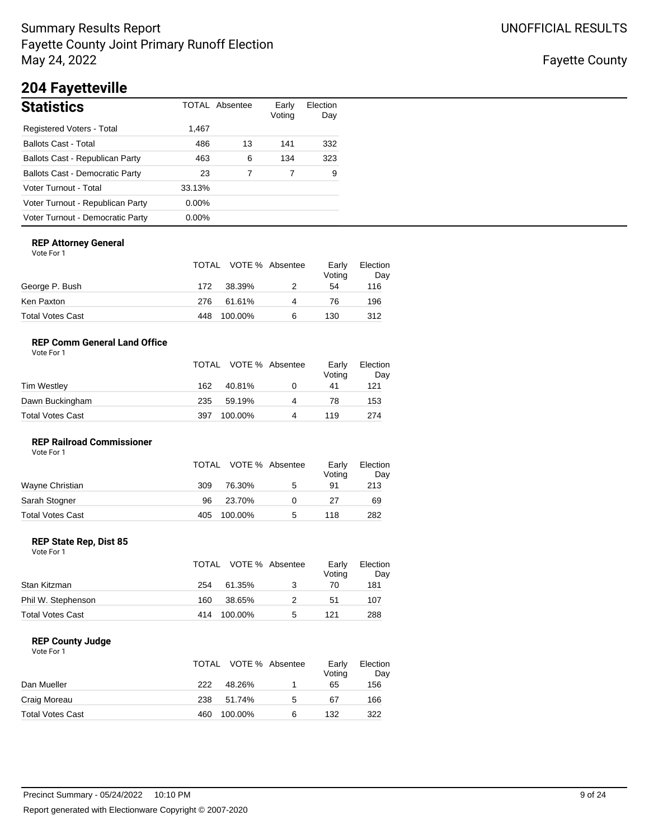## Fayette County

# **204 Fayetteville**

| <b>Statistics</b>                      |          | TOTAL Absentee | Early<br>Voting | Election<br>Day |
|----------------------------------------|----------|----------------|-----------------|-----------------|
| Registered Voters - Total              | 1,467    |                |                 |                 |
| <b>Ballots Cast - Total</b>            | 486      | 13             | 141             | 332             |
| Ballots Cast - Republican Party        | 463      | 6              | 134             | 323             |
| <b>Ballots Cast - Democratic Party</b> | 23       |                |                 | 9               |
| Voter Turnout - Total                  | 33.13%   |                |                 |                 |
| Voter Turnout - Republican Party       | $0.00\%$ |                |                 |                 |
| Voter Turnout - Democratic Party       | $0.00\%$ |                |                 |                 |

### **REP Attorney General**

Vote For 1

|                  |     | TOTAL VOTE % Absentee |   | Early<br>Voting | Election<br>Day |
|------------------|-----|-----------------------|---|-----------------|-----------------|
| George P. Bush   | 172 | 38.39%                |   | 54              | 116             |
| Ken Paxton       | 276 | 61.61%                | 4 | 76              | 196             |
| Total Votes Cast | 448 | 100.00%               | 6 | 130             | 312             |

### **REP Comm General Land Office**

| Vote For 1 |  |
|------------|--|
|            |  |

|                  |     | TOTAL VOTE % Absentee |   | Early<br>Voting | Election<br>Day |
|------------------|-----|-----------------------|---|-----------------|-----------------|
| Tim Westley      | 162 | 40.81%                | 0 | 41              | 121             |
| Dawn Buckingham  | 235 | 59.19%                | 4 | 78              | 153             |
| Total Votes Cast | 397 | 100.00%               | 4 | 119             | 274             |

### **REP Railroad Commissioner**

| Vote For 1       |     |                       |   |                 |                 |
|------------------|-----|-----------------------|---|-----------------|-----------------|
|                  |     | TOTAL VOTE % Absentee |   | Early<br>Voting | Election<br>Day |
| Wayne Christian  | 309 | 76.30%                | 5 | 91              | 213             |
| Sarah Stogner    | 96  | 23.70%                |   | 27              | 69              |
| Total Votes Cast | 405 | 100.00%               | 5 | 118             | 282             |

### **REP State Rep, Dist 85**

| Vote For 1 |  |  |
|------------|--|--|
|------------|--|--|

|                         |     | TOTAL VOTE % Absentee |   | Early<br>Voting | Election<br>Day |
|-------------------------|-----|-----------------------|---|-----------------|-----------------|
| Stan Kitzman            | 254 | 61.35%                | 3 | 70              | 181             |
| Phil W. Stephenson      | 160 | 38.65%                |   | 51              | 107             |
| <b>Total Votes Cast</b> | 414 | 100.00%               | 5 | 121             | 288             |

### **REP County Judge**

|                         | TOTAL |         | VOTE % Absentee | Early<br>Voting | Election<br>Day |
|-------------------------|-------|---------|-----------------|-----------------|-----------------|
| Dan Mueller             | 222   | 48.26%  |                 | 65              | 156             |
| Craig Moreau            | 238   | 51.74%  | 5               | 67              | 166             |
| <b>Total Votes Cast</b> | 460   | 100.00% | 6               | 132             | 322             |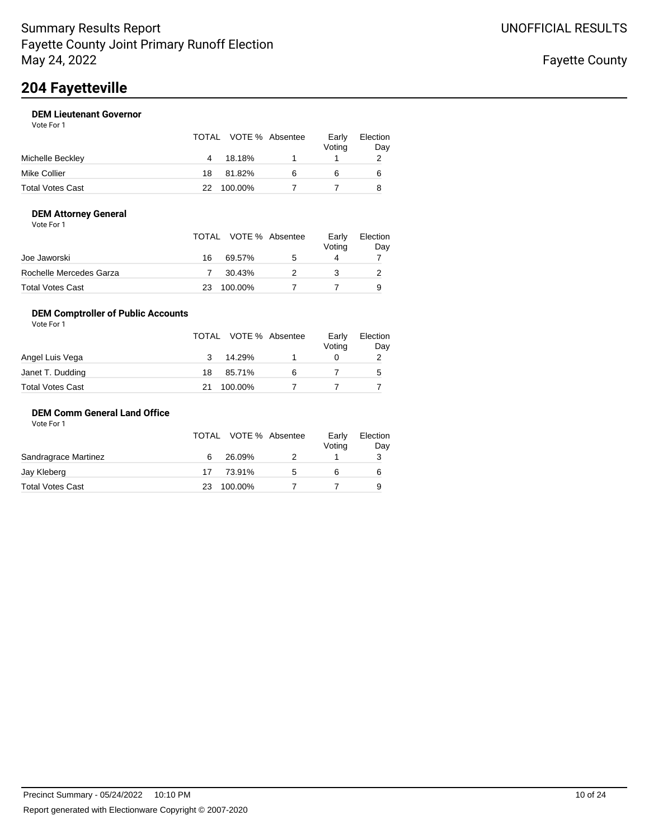# **204 Fayetteville**

### **DEM Lieutenant Governor**

| Vote For 1 |  |
|------------|--|
|            |  |

|                  |    | TOTAL VOTE % Absentee | Early<br>Voting | Election<br>Day |
|------------------|----|-----------------------|-----------------|-----------------|
| Michelle Beckley |    | 18.18%                |                 |                 |
| Mike Collier     | 18 | 81.82%                | 6               | 6               |
| Total Votes Cast | 22 | 100.00%               |                 |                 |

### **DEM Attorney General**

|  | Vote For 1 |  |
|--|------------|--|
|--|------------|--|

|                         |    | TOTAL VOTE % Absentee | Early<br>Voting | Election<br>Day |
|-------------------------|----|-----------------------|-----------------|-----------------|
| Joe Jaworski            | 16 | 69.57%                |                 |                 |
| Rochelle Mercedes Garza |    | 30.43%                |                 |                 |
| <b>Total Votes Cast</b> | 23 | 100.00%               |                 | 9               |

### **DEM Comptroller of Public Accounts**

| Vote For 1       |    |                       |   |                 |                 |
|------------------|----|-----------------------|---|-----------------|-----------------|
|                  |    | TOTAL VOTE % Absentee |   | Early<br>Voting | Election<br>Day |
| Angel Luis Vega  | 3  | 14.29%                |   |                 | 2               |
| Janet T. Dudding | 18 | 85.71%                | 6 |                 | 5               |
| Total Votes Cast |    | 100.00%               |   |                 |                 |

### **DEM Comm General Land Office**

|         |    | Voting | Election<br>Day |
|---------|----|--------|-----------------|
| 26.09%  |    |        |                 |
| 73.91%  | ۰. |        | 6               |
| 100.00% |    |        | 9               |
|         |    |        |                 |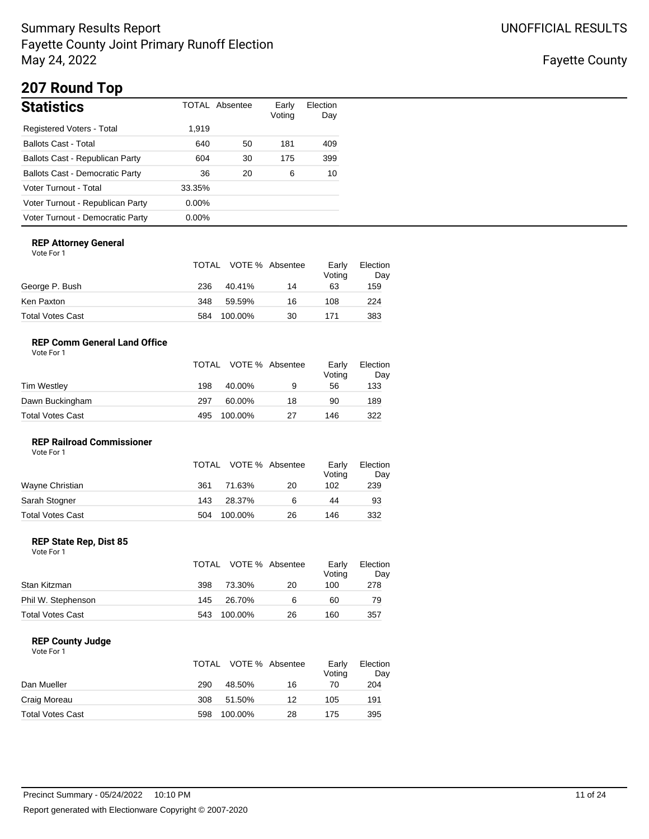Fayette County

# **207 Round Top**

| <b>Statistics</b>                      |          | TOTAL Absentee | Early<br>Voting | Election<br>Day |
|----------------------------------------|----------|----------------|-----------------|-----------------|
| Registered Voters - Total              | 1,919    |                |                 |                 |
| <b>Ballots Cast - Total</b>            | 640      | 50             | 181             | 409             |
| Ballots Cast - Republican Party        | 604      | 30             | 175             | 399             |
| <b>Ballots Cast - Democratic Party</b> | 36       | 20             | 6               | 10              |
| Voter Turnout - Total                  | 33.35%   |                |                 |                 |
| Voter Turnout - Republican Party       | $0.00\%$ |                |                 |                 |
| Voter Turnout - Democratic Party       | $0.00\%$ |                |                 |                 |

### **REP Attorney General**

Vote For 1

|                  |     | TOTAL VOTE % Absentee |    | Early<br>Voting | Election<br>Day |
|------------------|-----|-----------------------|----|-----------------|-----------------|
| George P. Bush   | 236 | 40.41%                | 14 | 63              | 159             |
| Ken Paxton       | 348 | 59.59%                | 16 | 108             | 224             |
| Total Votes Cast | 584 | 100.00%               | 30 | 171             | 383             |

### **REP Comm General Land Office**

| Vote For 1 |  |
|------------|--|
|            |  |

|                  |     | TOTAL VOTE % Absentee |    | Early<br>Voting | Election<br>Day |
|------------------|-----|-----------------------|----|-----------------|-----------------|
| Tim Westley      | 198 | 40.00%                | 9  | 56              | 133             |
| Dawn Buckingham  | 297 | 60.00%                | 18 | 90              | 189             |
| Total Votes Cast | 495 | 100.00%               | 27 | 146             | 322             |

### **REP Railroad Commissioner**

| Vote For 1       |     |                       |    |                 |                 |
|------------------|-----|-----------------------|----|-----------------|-----------------|
|                  |     | TOTAL VOTE % Absentee |    | Early<br>Voting | Election<br>Day |
| Wayne Christian  | 361 | 71.63%                | 20 | 102             | 239             |
| Sarah Stogner    | 143 | 28.37%                | 6  | 44              | 93              |
| Total Votes Cast | 504 | 100.00%               | 26 | 146             | 332             |

### **REP State Rep, Dist 85**

| Vote For 1 |  |
|------------|--|
|------------|--|

|                         |     | TOTAL VOTE % Absentee |    | Early<br>Votina | Election<br>Day |
|-------------------------|-----|-----------------------|----|-----------------|-----------------|
| Stan Kitzman            | 398 | 73.30%                | 20 | 100             | 278             |
| Phil W. Stephenson      | 145 | 26.70%                | 6  | 60              | 79              |
| <b>Total Votes Cast</b> | 543 | 100.00%               | 26 | 160             | 357             |

### **REP County Judge**

|                         | TOTAL |         | VOTE % Absentee | Early<br>Voting | Election<br>Day |
|-------------------------|-------|---------|-----------------|-----------------|-----------------|
| Dan Mueller             | 290   | 48.50%  | 16              | 70              | 204             |
| Craig Moreau            | 308   | 51.50%  | 12              | 105             | 191             |
| <b>Total Votes Cast</b> | 598   | 100.00% | 28              | 175             | 395             |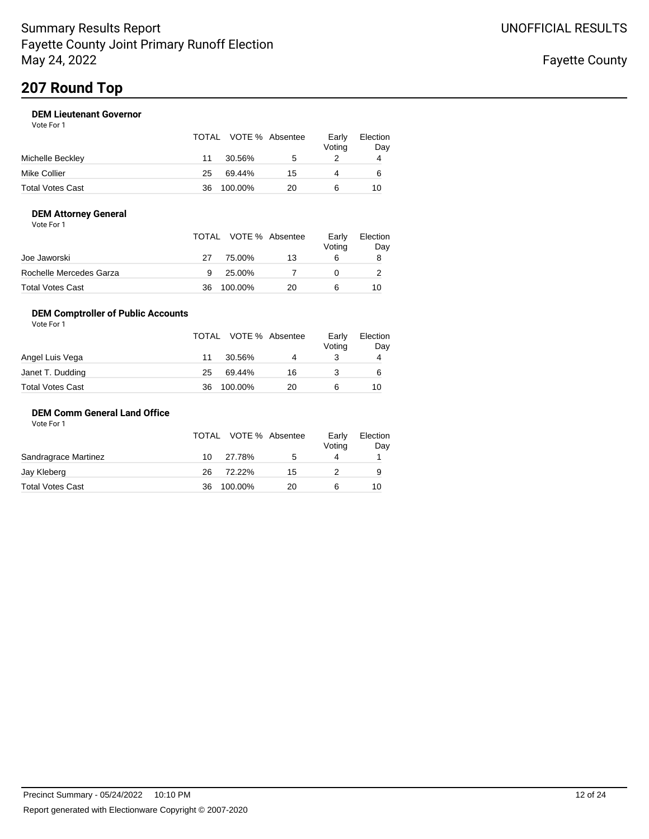### **DEM Lieutenant Governor**

Vote For 1

|                  |    | TOTAL VOTE % Absentee |    | Early<br>Voting | Election<br>Day |
|------------------|----|-----------------------|----|-----------------|-----------------|
| Michelle Beckley | 11 | 30.56%                | .5 |                 | 4               |
| Mike Collier     | 25 | 69.44%                | 15 | 4               | 6               |
| Total Votes Cast | 36 | 100.00%               | 20 |                 | 10              |

### **DEM Attorney General**

| Vote For 1 |  |  |
|------------|--|--|
|------------|--|--|

|                         |    | TOTAL VOTE % Absentee |    | Early<br>Voting | Election<br>Day |
|-------------------------|----|-----------------------|----|-----------------|-----------------|
| Joe Jaworski            | 27 | 75.00%                | 13 | 6               | 8               |
| Rochelle Mercedes Garza | 9  | 25.00%                |    |                 |                 |
| Total Votes Cast        | 36 | 100.00%               | 20 |                 | 10              |

### **DEM Comptroller of Public Accounts**

| Vote For 1       |    |                       |    |                 |                 |
|------------------|----|-----------------------|----|-----------------|-----------------|
|                  |    | TOTAL VOTE % Absentee |    | Early<br>Voting | Election<br>Day |
| Angel Luis Vega  | 11 | 30.56%                | 4  |                 | 4               |
| Janet T. Dudding | 25 | 69.44%                | 16 |                 | 6               |
| Total Votes Cast | 36 | 100.00%               | 20 | 6               | 10              |

### **DEM Comm General Land Office**

|     |        |         | Early<br>Voting       | Election<br>Day |
|-----|--------|---------|-----------------------|-----------------|
| 10. | 27.78% | 5       |                       |                 |
| 26  | 72.22% | 15      |                       | 9               |
| 36  |        | 20      |                       | 10              |
|     |        | 100.00% | TOTAL VOTE % Absentee |                 |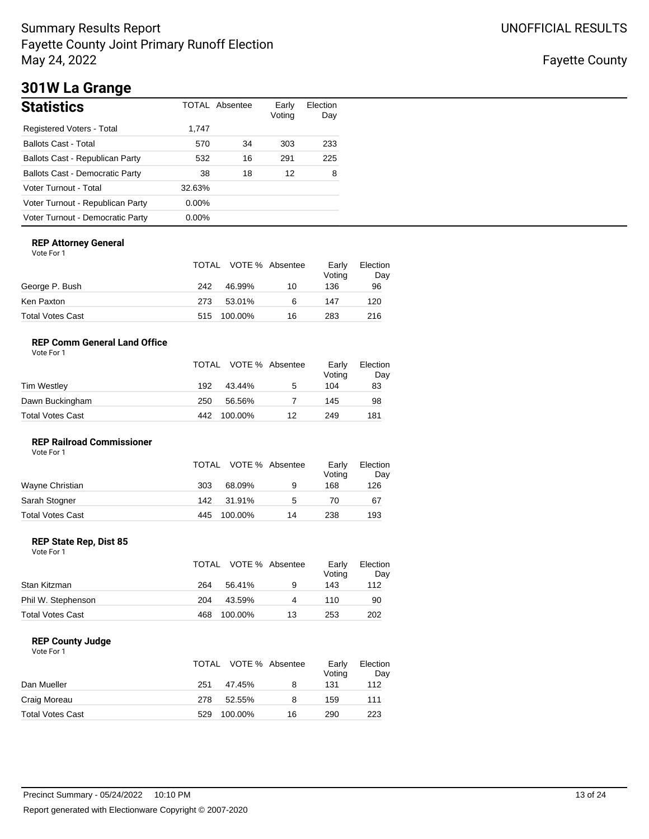Fayette County

# **301W La Grange**

| <b>Statistics</b>                      |          | <b>TOTAL Absentee</b> | Early<br>Voting | Election<br>Day |
|----------------------------------------|----------|-----------------------|-----------------|-----------------|
| Registered Voters - Total              | 1,747    |                       |                 |                 |
| <b>Ballots Cast - Total</b>            | 570      | 34                    | 303             | 233             |
| Ballots Cast - Republican Party        | 532      | 16                    | 291             | 225             |
| <b>Ballots Cast - Democratic Party</b> | 38       | 18                    | 12              | 8               |
| Voter Turnout - Total                  | 32.63%   |                       |                 |                 |
| Voter Turnout - Republican Party       | $0.00\%$ |                       |                 |                 |
| Voter Turnout - Democratic Party       | $0.00\%$ |                       |                 |                 |

### **REP Attorney General**

Vote For 1

|                  |     | TOTAL VOTE % Absentee |    | Early<br>Voting | Election<br>Day |
|------------------|-----|-----------------------|----|-----------------|-----------------|
| George P. Bush   | 242 | 46.99%                | 10 | 136             | 96              |
| Ken Paxton       | 273 | 53.01%                | 6  | 147             | 120             |
| Total Votes Cast |     | 515 100.00%           | 16 | 283             | 216             |

### **REP Comm General Land Office**

|                  |     | TOTAL VOTE % Absentee |    | Early<br>Voting | Election<br>Day |
|------------------|-----|-----------------------|----|-----------------|-----------------|
| Tim Westley      | 192 | 43.44%                | 5  | 104             | 83              |
| Dawn Buckingham  | 250 | 56.56%                |    | 145             | 98              |
| Total Votes Cast | 442 | 100.00%               | 12 | 249             | 181             |

### **REP Railroad Commissioner**

| Vote For 1       |     |                       |    |                 |                 |
|------------------|-----|-----------------------|----|-----------------|-----------------|
|                  |     | TOTAL VOTE % Absentee |    | Early<br>Voting | Election<br>Day |
| Wayne Christian  | 303 | 68.09%                | 9  | 168             | 126             |
| Sarah Stogner    | 142 | 31.91%                | 5  | 70              | 67              |
| Total Votes Cast | 445 | 100.00%               | 14 | 238             | 193             |

### **REP State Rep, Dist 85**

| Vote For 1 |  |
|------------|--|
|------------|--|

|                         |     | TOTAL VOTE % Absentee |    | Early<br>Voting | Election<br>Day |
|-------------------------|-----|-----------------------|----|-----------------|-----------------|
| Stan Kitzman            | 264 | 56.41%                | 9  | 143             | 112             |
| Phil W. Stephenson      | 204 | 43.59%                | Δ  | 110             | 90              |
| <b>Total Votes Cast</b> | 468 | 100.00%               | 13 | 253             | 202             |

### **REP County Judge**

|                         |     | TOTAL VOTE % Absentee |    | Early<br>Voting | Election<br>Day |
|-------------------------|-----|-----------------------|----|-----------------|-----------------|
| Dan Mueller             | 251 | 47.45%                | 8  | 131             | 112             |
| Craig Moreau            | 278 | 52.55%                | 8  | 159             | 111             |
| <b>Total Votes Cast</b> | 529 | 100.00%               | 16 | 290             | 223             |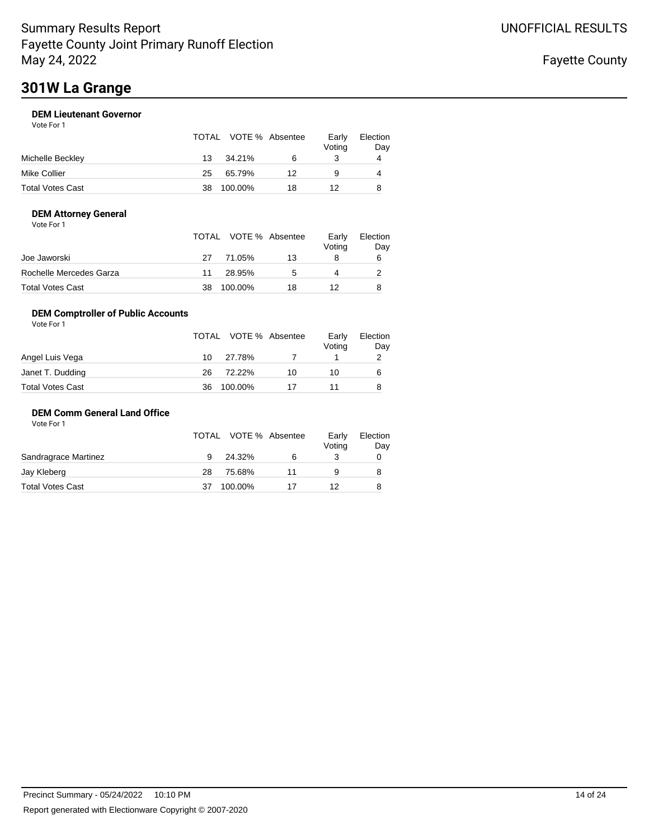# **301W La Grange**

### **DEM Lieutenant Governor** Vote For 1

|                  |    | TOTAL VOTE % Absentee |    | Early<br>Voting | Election<br>Day |
|------------------|----|-----------------------|----|-----------------|-----------------|
| Michelle Beckley | 13 | 34.21%                | 6  |                 | 4               |
| Mike Collier     | 25 | 65.79%                | 12 | 9               | 4               |
| Total Votes Cast | 38 | 100.00%               | 18 | 12              | 8               |

### **DEM Attorney General** Vote For 1

|                         |    | TOTAL VOTE % Absentee |              | Early<br>Voting | Election<br>Day |
|-------------------------|----|-----------------------|--------------|-----------------|-----------------|
| Joe Jaworski            | 27 | 71.05%                | 13           |                 | 6               |
| Rochelle Mercedes Garza | 11 | 28.95%                | $\mathbf{b}$ |                 |                 |
| <b>Total Votes Cast</b> | 38 | 100.00%               | 18           |                 |                 |

### **DEM Comptroller of Public Accounts**

| Vote For 1       |    |                       |    |                 |                 |
|------------------|----|-----------------------|----|-----------------|-----------------|
|                  |    | TOTAL VOTE % Absentee |    | Early<br>Voting | Election<br>Day |
| Angel Luis Vega  | 10 | 27.78%                |    |                 | 2               |
| Janet T. Dudding | 26 | 72.22%                | 10 | 10              | 6               |
| Total Votes Cast | 36 | 100.00%               |    |                 |                 |

### **DEM Comm General Land Office**

|                         |    | TOTAL VOTE % Absentee |    | Early<br>Voting | Election<br>Day |
|-------------------------|----|-----------------------|----|-----------------|-----------------|
| Sandragrace Martinez    | 9  | 24.32%                | 6  |                 |                 |
| Jay Kleberg             | 28 | 75.68%                | 11 |                 | 8               |
| <b>Total Votes Cast</b> | 37 | 100.00%               |    | 12              | 8               |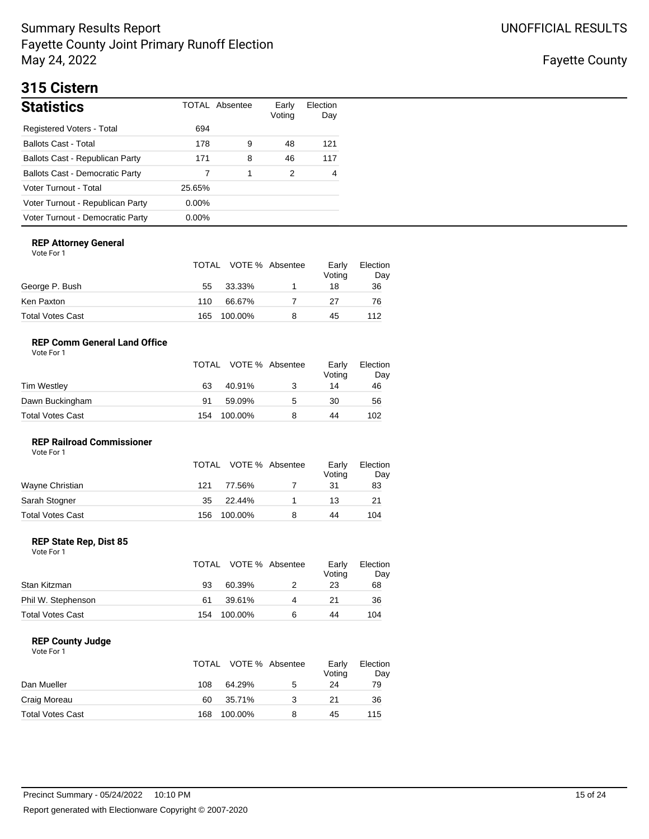Fayette County

# **315 Cistern**

| <b>Statistics</b>                      |          | TOTAL Absentee | Early<br>Voting | Election<br>Day |
|----------------------------------------|----------|----------------|-----------------|-----------------|
| Registered Voters - Total              | 694      |                |                 |                 |
| <b>Ballots Cast - Total</b>            | 178      | 9              | 48              | 121             |
| Ballots Cast - Republican Party        | 171      | 8              | 46              | 117             |
| <b>Ballots Cast - Democratic Party</b> |          |                | 2               | 4               |
| Voter Turnout - Total                  | 25.65%   |                |                 |                 |
| Voter Turnout - Republican Party       | $0.00\%$ |                |                 |                 |
| Voter Turnout - Democratic Party       | $0.00\%$ |                |                 |                 |

### **REP Attorney General**

Vote For 1

|                  |     | TOTAL VOTE % Absentee | Early<br>Voting | Election<br>Day |
|------------------|-----|-----------------------|-----------------|-----------------|
| George P. Bush   | 55  | 33.33%                | 18              | 36              |
| Ken Paxton       | 110 | 66.67%                | 27              | 76              |
| Total Votes Cast | 165 | 100.00%               | 45              | 112             |

### **REP Comm General Land Office**

| Vote For 1 |  |
|------------|--|
|            |  |

|                  |     | TOTAL VOTE % Absentee |   | Early<br>Voting | Election<br>Day |
|------------------|-----|-----------------------|---|-----------------|-----------------|
| Tim Westley      | 63  | 40.91%                |   | 14              | 46              |
| Dawn Buckingham  | 91  | 59.09%                | 5 | 30              | 56              |
| Total Votes Cast | 154 | 100.00%               |   | 44              | 102             |

### **REP Railroad Commissioner** Vote For 1

| .                       | TOTAL |         | VOTE % Absentee | Early<br>Voting | Election<br>Day |
|-------------------------|-------|---------|-----------------|-----------------|-----------------|
| Wayne Christian         | 121   | 77.56%  |                 | 31              | 83              |
| Sarah Stogner           | 35    | 22.44%  |                 | 13              | 21              |
| <b>Total Votes Cast</b> | 156   | 100.00% | 8               | 44              | 104             |

### **REP State Rep, Dist 85**

Vote For 1

|                         |     | TOTAL VOTE % Absentee |   | Early<br>Voting | Election<br>Day |
|-------------------------|-----|-----------------------|---|-----------------|-----------------|
| Stan Kitzman            | 93  | 60.39%                |   | 23              | 68              |
| Phil W. Stephenson      | 61  | 39.61%                | 4 | 21              | 36              |
| <b>Total Votes Cast</b> | 154 | 100.00%               | 6 | 44              | 104             |

### **REP County Judge**

|                         | TOTAL |         | VOTE % Absentee | Early<br>Voting | Election<br>Day |
|-------------------------|-------|---------|-----------------|-----------------|-----------------|
| Dan Mueller             | 108   | 64.29%  | 5               | 24              | 79              |
| Craig Moreau            | 60    | 35.71%  |                 | 21              | 36              |
| <b>Total Votes Cast</b> | 168   | 100.00% | 8               | 45              | 115             |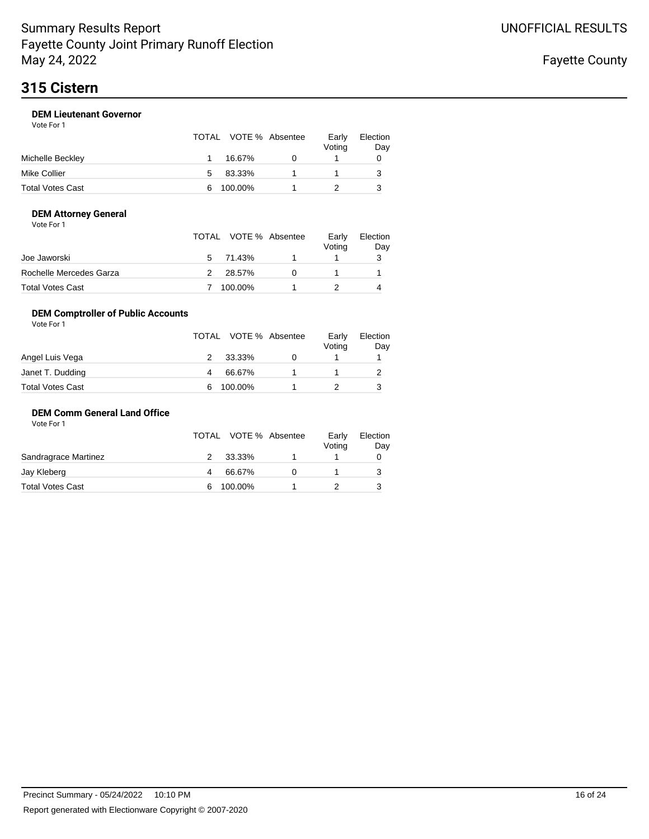# **315 Cistern**

### **DEM Lieutenant Governor** Vote For 1

| 1 U U U U U U    |    | TOTAL VOTE % Absentee | Early<br>Voting | Election<br>Day |
|------------------|----|-----------------------|-----------------|-----------------|
| Michelle Beckley |    | 16.67%                |                 |                 |
| Mike Collier     | 5. | 83.33%                |                 |                 |
| Total Votes Cast | 6  | 100.00%               |                 |                 |

### **DEM Attorney General**

| Vote For 1 |  |  |
|------------|--|--|
|------------|--|--|

|                         |               | TOTAL VOTE % Absentee | Early<br>Voting | Election<br>Day |
|-------------------------|---------------|-----------------------|-----------------|-----------------|
| Joe Jaworski            |               | 5 71.43%              |                 |                 |
| Rochelle Mercedes Garza | $\mathcal{P}$ | 28.57%                |                 |                 |
| Total Votes Cast        |               | 100.00%               |                 |                 |

### **DEM Comptroller of Public Accounts**

| Vote For 1       |   |                       |                 |                 |
|------------------|---|-----------------------|-----------------|-----------------|
|                  |   | TOTAL VOTE % Absentee | Early<br>Voting | Election<br>Day |
| Angel Luis Vega  |   | 33.33%                |                 |                 |
| Janet T. Dudding | 4 | 66.67%                |                 |                 |
| Total Votes Cast | 6 | 100.00%               |                 |                 |

### **DEM Comm General Land Office**

|                      |   | TOTAL VOTE % Absentee | Early<br>Voting | Election<br>Day |
|----------------------|---|-----------------------|-----------------|-----------------|
| Sandragrace Martinez | 2 | 33.33%                |                 |                 |
| Jay Kleberg          |   | 66.67%                |                 |                 |
| Total Votes Cast     | 6 | 100.00%               |                 |                 |
|                      |   |                       |                 |                 |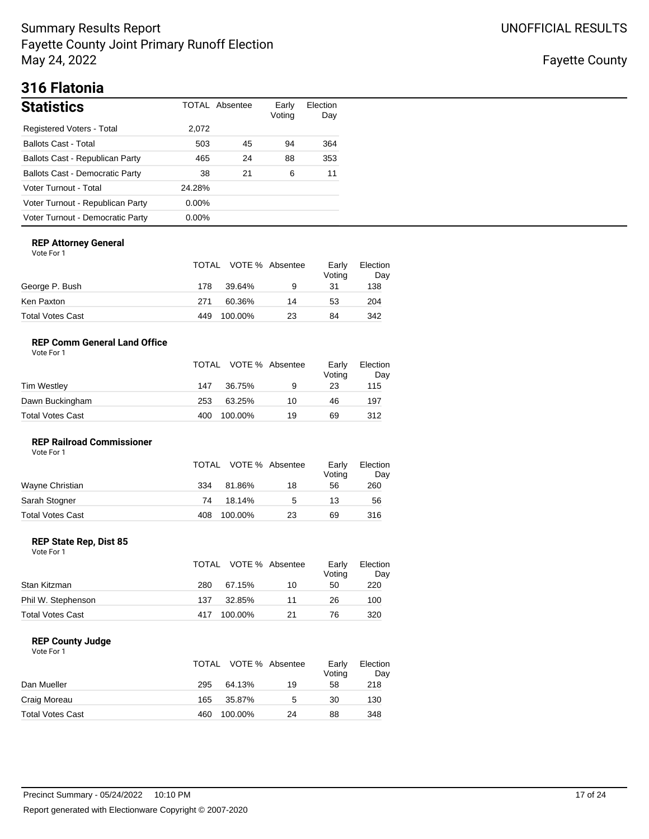Fayette County

# **316 Flatonia**

| <b>Statistics</b>                      |          | TOTAL Absentee | Early<br>Voting | Election<br>Day |
|----------------------------------------|----------|----------------|-----------------|-----------------|
| <b>Registered Voters - Total</b>       | 2,072    |                |                 |                 |
| <b>Ballots Cast - Total</b>            | 503      | 45             | 94              | 364             |
| Ballots Cast - Republican Party        | 465      | 24             | 88              | 353             |
| <b>Ballots Cast - Democratic Party</b> | 38       | 21             | 6               | 11              |
| Voter Turnout - Total                  | 24.28%   |                |                 |                 |
| Voter Turnout - Republican Party       | $0.00\%$ |                |                 |                 |
| Voter Turnout - Democratic Party       | $0.00\%$ |                |                 |                 |

### **REP Attorney General**

Vote For 1

|                  |     | TOTAL VOTE % Absentee |    | Early<br>Voting | Election<br>Day |
|------------------|-----|-----------------------|----|-----------------|-----------------|
| George P. Bush   | 178 | 39.64%                | 9  | 31              | 138             |
| Ken Paxton       | 271 | 60.36%                | 14 | 53              | 204             |
| Total Votes Cast | 449 | 100.00%               | 23 | 84              | 342             |

### **REP Comm General Land Office**

| Vote For 1 |  |
|------------|--|
|            |  |

|                  |     | TOTAL VOTE % Absentee |    | Early<br>Voting | Election<br>Day |
|------------------|-----|-----------------------|----|-----------------|-----------------|
| Tim Westley      | 147 | 36.75%                | 9  | 23              | 115             |
| Dawn Buckingham  | 253 | 63.25%                | 10 | 46              | 197             |
| Total Votes Cast | 400 | 100.00%               | 19 | 69              | 312             |

### **REP Railroad Commissioner** Vote For 1

|                  |     | TOTAL VOTE % Absentee |    | Early<br>Voting | Election<br>Day |
|------------------|-----|-----------------------|----|-----------------|-----------------|
| Wayne Christian  | 334 | 81.86%                | 18 | 56              | 260             |
| Sarah Stogner    | 74  | 18.14%                | 5  | 13              | 56              |
| Total Votes Cast | 408 | 100.00%               | 23 | 69              | 316             |

### **REP State Rep, Dist 85**

| Vote For 1 |  |
|------------|--|
|------------|--|

|                         |     | TOTAL VOTE % Absentee |    | Early<br>Votina | Election<br>Day |
|-------------------------|-----|-----------------------|----|-----------------|-----------------|
| Stan Kitzman            | 280 | 67.15%                | 10 | 50              | 220             |
| Phil W. Stephenson      | 137 | 32.85%                | 11 | 26              | 100             |
| <b>Total Votes Cast</b> | 417 | 100.00%               | 21 | 76              | 320             |

### **REP County Judge**

|                         | TOTAL |         | VOTE % Absentee | Early<br>Voting | Election<br>Day |
|-------------------------|-------|---------|-----------------|-----------------|-----------------|
| Dan Mueller             | 295   | 64.13%  | 19              | 58              | 218             |
| Craig Moreau            | 165   | 35.87%  | 5               | 30              | 130             |
| <b>Total Votes Cast</b> | 460   | 100.00% | 24              | 88              | 348             |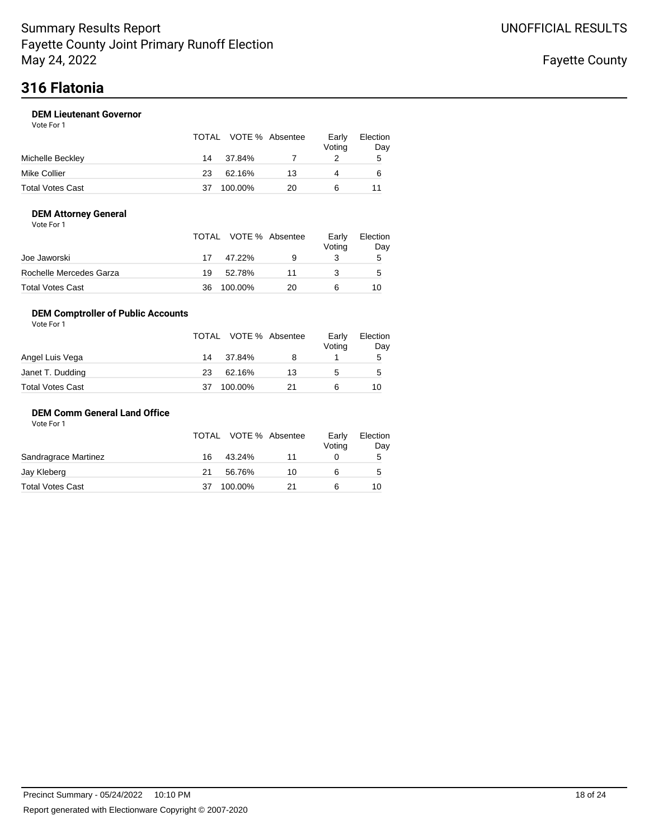### **DEM Lieutenant Governor**

Vote For 1

|                  |    | TOTAL VOTE % Absentee |    | Early<br>Voting | Election<br>Day |
|------------------|----|-----------------------|----|-----------------|-----------------|
| Michelle Beckley | 14 | 37.84%                |    |                 | 5               |
| Mike Collier     | 23 | 62.16%                | 13 | 4               | 6               |
| Total Votes Cast | 37 | 100.00%               | 20 | 6               |                 |

### **DEM Attorney General**

| Vote For 1 |  |
|------------|--|
|------------|--|

|                         |    | TOTAL VOTE % Absentee |    | Earlv<br>Voting | Election<br>Day |
|-------------------------|----|-----------------------|----|-----------------|-----------------|
| Joe Jaworski            | 17 | 47.22%                | 9  |                 | 5               |
| Rochelle Mercedes Garza | 19 | 52.78%                | 11 |                 | $\mathbf b$     |
| Total Votes Cast        | 36 | 100.00%               | 20 |                 | 10              |

### **DEM Comptroller of Public Accounts**

| Vote For 1       |    |                       |    |                 |                 |
|------------------|----|-----------------------|----|-----------------|-----------------|
|                  |    | TOTAL VOTE % Absentee |    | Early<br>Voting | Election<br>Day |
| Angel Luis Vega  | 14 | 37.84%                |    |                 | 5               |
| Janet T. Dudding | 23 | 62.16%                | 13 | 5               | 5               |
| Total Votes Cast | 37 | 100.00%               | 21 | 6               | 10              |

### **DEM Comm General Land Office**

|    |        |         | Early<br>Voting       | Election<br>Day |
|----|--------|---------|-----------------------|-----------------|
| 16 | 43.24% | 11      |                       | 5               |
| 21 | 56.76% | 10      | 6                     | 5               |
|    |        | 21      |                       | 10              |
|    |        | 100.00% | TOTAL VOTE % Absentee |                 |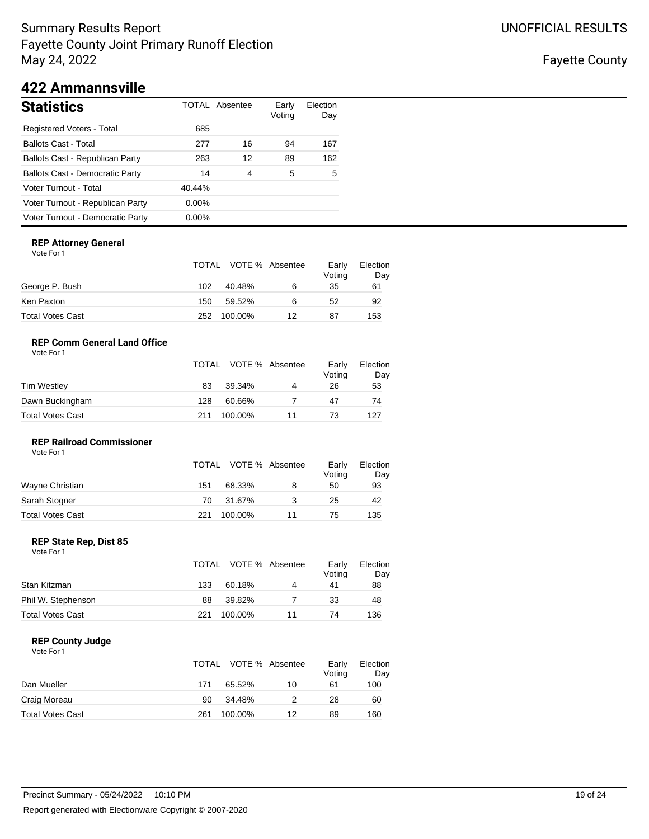## Fayette County

# **422 Ammannsville**

| <b>Statistics</b>                      |          | <b>TOTAL Absentee</b> | Early<br>Voting | Election<br>Day |
|----------------------------------------|----------|-----------------------|-----------------|-----------------|
| Registered Voters - Total              | 685      |                       |                 |                 |
| <b>Ballots Cast - Total</b>            | 277      | 16                    | 94              | 167             |
| Ballots Cast - Republican Party        | 263      | 12                    | 89              | 162             |
| <b>Ballots Cast - Democratic Party</b> | 14       | 4                     | 5               | 5               |
| Voter Turnout - Total                  | 40.44%   |                       |                 |                 |
| Voter Turnout - Republican Party       | $0.00\%$ |                       |                 |                 |
| Voter Turnout - Democratic Party       | $0.00\%$ |                       |                 |                 |

### **REP Attorney General**

Vote For 1

|                  |     | TOTAL VOTE % Absentee |    | Early<br>Voting | Election<br>Day |
|------------------|-----|-----------------------|----|-----------------|-----------------|
| George P. Bush   | 102 | 40.48%                | 6  | 35              | 61              |
| Ken Paxton       | 150 | 59.52%                | 6  | 52              | 92              |
| Total Votes Cast | 252 | 100.00%               | 12 | 87              | 153             |

### **REP Comm General Land Office**

| Vote For 1 |  |
|------------|--|
|            |  |

|                  |     | TOTAL VOTE % Absentee |    | Early<br>Voting | Election<br>Day |
|------------------|-----|-----------------------|----|-----------------|-----------------|
| Tim Westley      | 83  | 39.34%                | 4  | 26              | 53              |
| Dawn Buckingham  | 128 | 60.66%                |    | 47              | 74              |
| Total Votes Cast | 211 | 100.00%               | 11 | 73              | 127             |

### **REP Railroad Commissioner**

| Vote For 1       |     |                       |    |                 |                 |
|------------------|-----|-----------------------|----|-----------------|-----------------|
|                  |     | TOTAL VOTE % Absentee |    | Early<br>Voting | Election<br>Day |
| Wayne Christian  | 151 | 68.33%                | 8  | 50              | 93              |
| Sarah Stogner    | 70  | 31.67%                | 3  | 25              | 42              |
| Total Votes Cast | 221 | 100.00%               | 11 | 75              | 135             |

### **REP State Rep, Dist 85**

Vote For 1

|                         |     | TOTAL VOTE % Absentee |    | Early<br>Voting | Election<br>Day |
|-------------------------|-----|-----------------------|----|-----------------|-----------------|
| Stan Kitzman            | 133 | 60.18%                | 4  | 41              | 88              |
| Phil W. Stephenson      | 88  | 39.82%                |    | 33              | 48              |
| <b>Total Votes Cast</b> | 221 | 100.00%               | 11 | 74              | 136             |

### **REP County Judge**

|                         | TOTAL |         | VOTE % Absentee | Early<br>Voting | Election<br>Day |
|-------------------------|-------|---------|-----------------|-----------------|-----------------|
| Dan Mueller             | 171   | 65.52%  | 10              | 61              | 100             |
| Craig Moreau            | 90    | 34.48%  |                 | 28              | 60              |
| <b>Total Votes Cast</b> | 261   | 100.00% | 12              | 89              | 160             |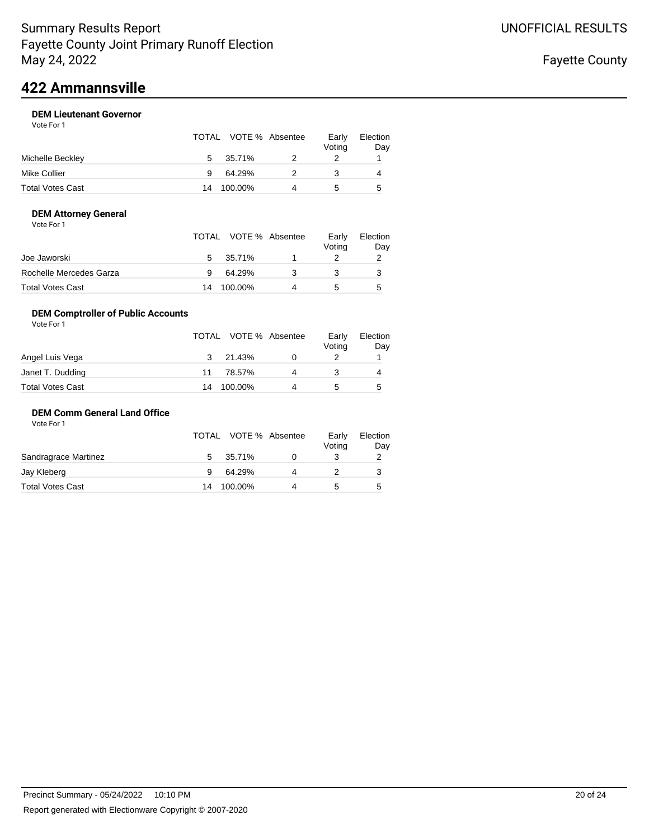# **422 Ammannsville**

### **DEM Lieutenant Governor** Vote For 1

|                  |    | TOTAL VOTE % Absentee | Early<br>Voting | Election<br>Day |
|------------------|----|-----------------------|-----------------|-----------------|
| Michelle Beckley | 5  | 35.71%                |                 |                 |
| Mike Collier     | 9  | 64.29%                |                 | 4               |
| Total Votes Cast | 14 | 100.00%               |                 | 5               |

### **DEM Attorney General**

| Vote For 1 |  |  |
|------------|--|--|
|------------|--|--|

|                         |               | TOTAL VOTE % Absentee | Early<br>Voting | Election<br>Day |
|-------------------------|---------------|-----------------------|-----------------|-----------------|
| Joe Jaworski            | $\mathcal{F}$ | 35.71%                |                 |                 |
| Rochelle Mercedes Garza |               | 64.29%                |                 |                 |
| Total Votes Cast        | 14            | 100.00%               |                 | 5               |

### **DEM Comptroller of Public Accounts**

| Vote For 1       |    |                       |   |                 |                 |
|------------------|----|-----------------------|---|-----------------|-----------------|
|                  |    | TOTAL VOTE % Absentee |   | Early<br>Voting | Election<br>Day |
| Angel Luis Vega  | 3  | 21.43%                |   |                 |                 |
| Janet T. Dudding | 11 | 78.57%                | 4 |                 | 4               |
| Total Votes Cast | 14 | 100.00%               | 4 | 5               | 5               |

### **DEM Comm General Land Office**

|                      |    | TOTAL VOTE % Absentee | Early<br>Voting | Election<br>Day |
|----------------------|----|-----------------------|-----------------|-----------------|
| Sandragrace Martinez | 5  | 35.71%                |                 |                 |
| Jay Kleberg          |    | 64.29%                |                 |                 |
| Total Votes Cast     | 14 | 100.00%               |                 | 5               |
|                      |    |                       |                 |                 |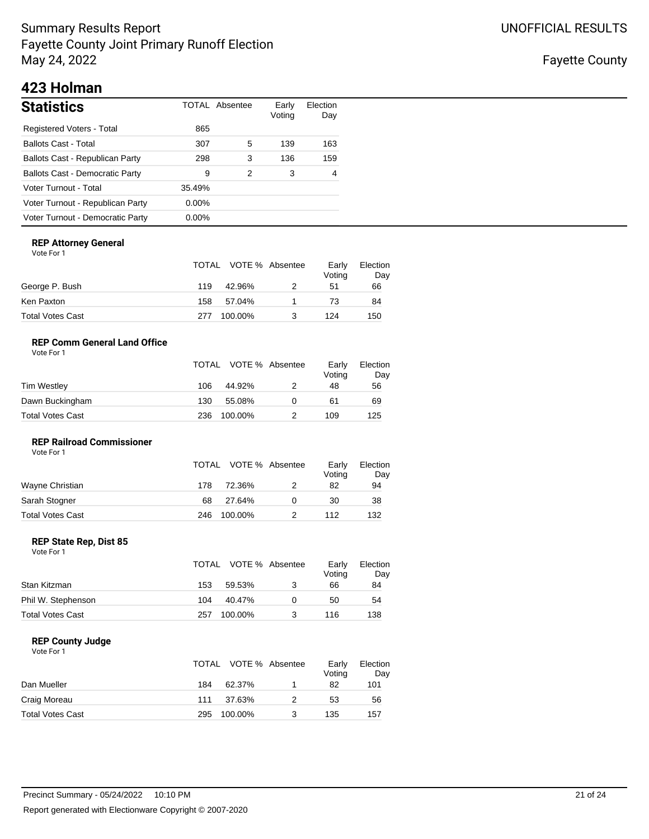Fayette County

# **423 Holman**

| <b>Statistics</b>                      |          | TOTAL Absentee | Early<br>Voting | Election<br>Day |
|----------------------------------------|----------|----------------|-----------------|-----------------|
| <b>Registered Voters - Total</b>       | 865      |                |                 |                 |
| <b>Ballots Cast - Total</b>            | 307      | 5              | 139             | 163             |
| Ballots Cast - Republican Party        | 298      | 3              | 136             | 159             |
| <b>Ballots Cast - Democratic Party</b> | 9        | 2              | 3               | 4               |
| Voter Turnout - Total                  | 35.49%   |                |                 |                 |
| Voter Turnout - Republican Party       | $0.00\%$ |                |                 |                 |
| Voter Turnout - Democratic Party       | $0.00\%$ |                |                 |                 |

### **REP Attorney General**

Vote For 1

|                  |     | TOTAL VOTE % Absentee | Early<br>Voting | Election<br>Day |
|------------------|-----|-----------------------|-----------------|-----------------|
| George P. Bush   | 119 | 42.96%                | 51              | 66              |
| Ken Paxton       | 158 | 57.04%                | 73              | 84              |
| Total Votes Cast | 277 | 100.00%               | 124             | 150             |

### **REP Comm General Land Office**

| Vote For 1 |  |
|------------|--|
|            |  |

|                  |     | TOTAL VOTE % Absentee | Early<br>Voting | Election<br>Day |
|------------------|-----|-----------------------|-----------------|-----------------|
| Tim Westley      | 106 | 44.92%                | 48              | 56              |
| Dawn Buckingham  | 130 | 55.08%                | 61              | 69              |
| Total Votes Cast | 236 | 100.00%               | 109             | 125             |

### **REP Railroad Commissioner** Vote For 1

|                  |     | TOTAL VOTE % Absentee | Early<br>Voting | Election<br>Day |
|------------------|-----|-----------------------|-----------------|-----------------|
| Wayne Christian  | 178 | 72.36%                | 82              | 94              |
| Sarah Stogner    | 68  | 27.64%                | 30              | 38              |
| Total Votes Cast | 246 | 100.00%               | 112             | 132             |

### **REP State Rep, Dist 85**

Vote For 1

|                         |     | TOTAL VOTE % Absentee | Early<br>Voting | Election<br>Day |
|-------------------------|-----|-----------------------|-----------------|-----------------|
| Stan Kitzman            | 153 | 59.53%                | 66              | 84              |
| Phil W. Stephenson      | 104 | 40.47%                | 50              | 54              |
| <b>Total Votes Cast</b> | 257 | 100.00%               | 116             | 138             |

### **REP County Judge**

|                         | TOTAL |         | VOTE % Absentee | Early<br>Voting | Election<br>Day |
|-------------------------|-------|---------|-----------------|-----------------|-----------------|
| Dan Mueller             | 184   | 62.37%  |                 | 82              | 101             |
| Craig Moreau            | 111   | 37.63%  |                 | 53              | 56              |
| <b>Total Votes Cast</b> | 295   | 100.00% |                 | 135             | 157             |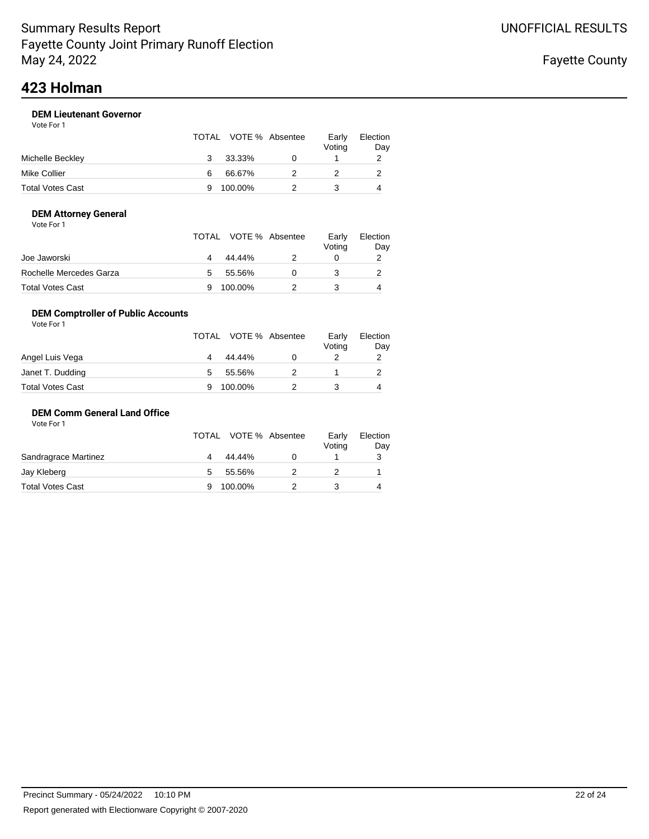# **423 Holman**

### **DEM Lieutenant Governor**

|                  |   | TOTAL VOTE % Absentee | Early<br>Votina | Election<br>Day |
|------------------|---|-----------------------|-----------------|-----------------|
| Michelle Beckley | 3 | 33.33%                |                 |                 |
| Mike Collier     | 6 | 66.67%                |                 |                 |
| Total Votes Cast | 9 | 100.00%               |                 |                 |

### **DEM Attorney General**

|  | Vote For 1 |  |
|--|------------|--|
|--|------------|--|

|                         |   | TOTAL VOTE % Absentee | Early<br>Voting | Election<br>Day |
|-------------------------|---|-----------------------|-----------------|-----------------|
| Joe Jaworski            |   | 44.44%                |                 |                 |
| Rochelle Mercedes Garza | 5 | 55.56%                |                 |                 |
| Total Votes Cast        |   | 100.00%               |                 |                 |

### **DEM Comptroller of Public Accounts**

| Vote For 1       |   |                       |                 |                 |
|------------------|---|-----------------------|-----------------|-----------------|
|                  |   | TOTAL VOTE % Absentee | Early<br>Voting | Election<br>Day |
| Angel Luis Vega  | 4 | 44.44%                |                 | 2               |
| Janet T. Dudding | 5 | 55.56%                |                 |                 |
| Total Votes Cast |   | 100.00%               |                 | 4               |

### **DEM Comm General Land Office**

|                      |   | TOTAL VOTE % Absentee | Early<br>Voting | Election<br>Day |
|----------------------|---|-----------------------|-----------------|-----------------|
| Sandragrace Martinez |   | 44.44%                |                 |                 |
| Jay Kleberg          | 5 | 55.56%                |                 |                 |
| Total Votes Cast     |   | 100.00%               |                 | 4               |
|                      |   |                       |                 |                 |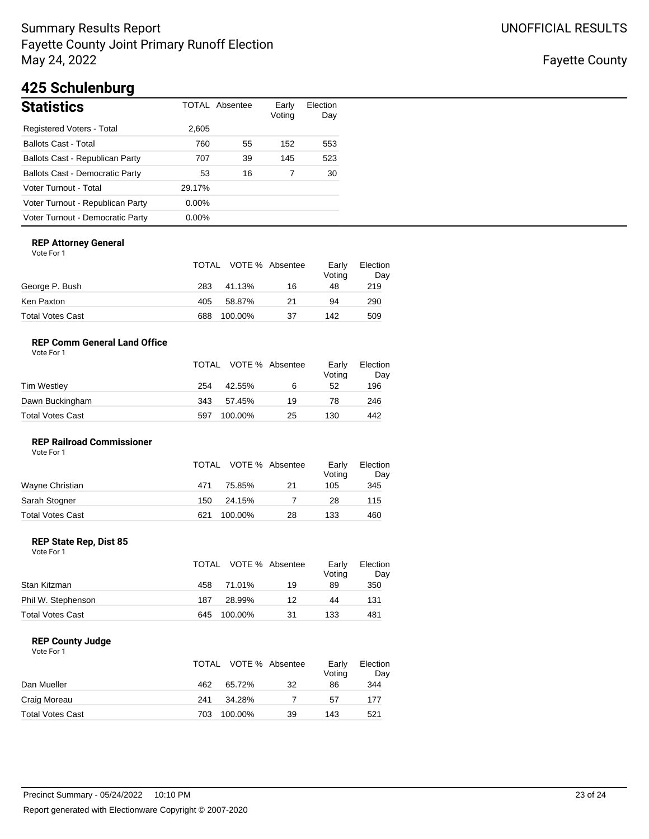Fayette County

# **425 Schulenburg**

| <b>Statistics</b>                      |          | TOTAL Absentee | Early<br>Voting | Election<br>Day |
|----------------------------------------|----------|----------------|-----------------|-----------------|
| Registered Voters - Total              | 2,605    |                |                 |                 |
| <b>Ballots Cast - Total</b>            | 760      | 55             | 152             | 553             |
| Ballots Cast - Republican Party        | 707      | 39             | 145             | 523             |
| <b>Ballots Cast - Democratic Party</b> | 53       | 16             |                 | 30              |
| Voter Turnout - Total                  | 29.17%   |                |                 |                 |
| Voter Turnout - Republican Party       | $0.00\%$ |                |                 |                 |
| Voter Turnout - Democratic Party       | $0.00\%$ |                |                 |                 |

### **REP Attorney General**

Vote For 1

|                  |     | TOTAL VOTE % Absentee |    | Early<br>Voting | Election<br>Day |
|------------------|-----|-----------------------|----|-----------------|-----------------|
| George P. Bush   | 283 | 41.13%                | 16 | 48              | 219             |
| Ken Paxton       | 405 | 58.87%                | 21 | 94              | 290             |
| Total Votes Cast | 688 | 100.00%               | 37 | 142             | 509             |

### **REP Comm General Land Office**

| Vote For 1 |  |
|------------|--|
|            |  |

|                  |     | TOTAL VOTE % Absentee |    | Early<br>Voting | Election<br>Day |
|------------------|-----|-----------------------|----|-----------------|-----------------|
| Tim Westley      | 254 | 42.55%                | 6  | 52              | 196             |
| Dawn Buckingham  | 343 | 57.45%                | 19 | 78              | 246             |
| Total Votes Cast | 597 | 100.00%               | 25 | 130             | 442             |

### **REP Railroad Commissioner**

| Vote For 1       |     |                       |    |                 |                 |
|------------------|-----|-----------------------|----|-----------------|-----------------|
|                  |     | TOTAL VOTE % Absentee |    | Early<br>Voting | Election<br>Day |
| Wayne Christian  | 471 | 75.85%                | 21 | 105             | 345             |
| Sarah Stogner    | 150 | 24.15%                |    | 28              | 115             |
| Total Votes Cast | 621 | 100.00%               | 28 | 133             | 460             |

### **REP State Rep, Dist 85**

Vote For 1

|                         |     | TOTAL VOTE % Absentee |    | Early<br>Voting | Election<br>Day |
|-------------------------|-----|-----------------------|----|-----------------|-----------------|
| Stan Kitzman            | 458 | 71.01%                | 19 | 89              | 350             |
| Phil W. Stephenson      | 187 | 28.99%                | 12 | 44              | 131             |
| <b>Total Votes Cast</b> | 645 | 100.00%               | 31 | 133             | 481             |

### **REP County Judge**

|                         |     | TOTAL VOTE % Absentee |    | Early<br>Voting | Election<br>Day |
|-------------------------|-----|-----------------------|----|-----------------|-----------------|
| Dan Mueller             | 462 | 65.72%                | 32 | 86              | 344             |
| Craig Moreau            | 241 | 34.28%                |    | 57              | 177             |
| <b>Total Votes Cast</b> | 703 | 100.00%               | 39 | 143             | 521             |